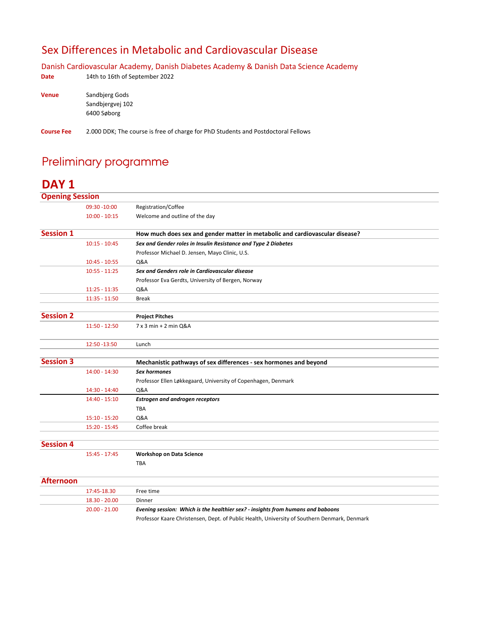#### Sex Differences in Metabolic and Cardiovascular Disease

Danish Cardiovascular Academy, Danish Diabetes Academy & Danish Data Science Academy

| Date         | 14th to 16th of September 2022 |
|--------------|--------------------------------|
| <b>Venue</b> | Sandbjerg Gods                 |
|              | Sandbjergvej 102               |
|              | 6400 Søborg                    |

**Course Fee** 2.000 DDK; The course is free of charge for PhD Students and Postdoctoral Fellows

### Preliminary programme

#### **DAY 1**

| <b>Opening Session</b> |                 |                                                                              |
|------------------------|-----------------|------------------------------------------------------------------------------|
|                        | 09:30 - 10:00   | Registration/Coffee                                                          |
|                        | $10:00 - 10:15$ | Welcome and outline of the day                                               |
| <b>Session 1</b>       |                 | How much does sex and gender matter in metabolic and cardiovascular disease? |
|                        | $10:15 - 10:45$ | Sex and Gender roles in Insulin Resistance and Type 2 Diabetes               |
|                        |                 | Professor Michael D. Jensen, Mayo Clinic, U.S.                               |
|                        | $10:45 - 10:55$ | <b>Q&amp;A</b>                                                               |
|                        | $10:55 - 11:25$ | Sex and Genders role in Cardiovascular disease                               |
|                        |                 | Professor Eva Gerdts, University of Bergen, Norway                           |
|                        | $11:25 - 11:35$ | Q&A                                                                          |
|                        | $11:35 - 11:50$ | <b>Break</b>                                                                 |
| <b>Session 2</b>       |                 | <b>Project Pitches</b>                                                       |
|                        | $11:50 - 12:50$ | 7 x 3 min + 2 min Q&A                                                        |
|                        | 12:50 - 13:50   | Lunch                                                                        |
| <b>Session 3</b>       |                 | Mechanistic pathways of sex differences - sex hormones and beyond            |
|                        | $14:00 - 14:30$ | <b>Sex hormones</b>                                                          |
|                        |                 | Professor Ellen Løkkegaard, University of Copenhagen, Denmark                |
|                        | 14:30 - 14:40   | Q&A                                                                          |
|                        | $14:40 - 15:10$ | <b>Estrogen and androgen receptors</b>                                       |
|                        |                 | <b>TBA</b>                                                                   |
|                        | $15:10 - 15:20$ | Q&A                                                                          |
|                        | $15:20 - 15:45$ | Coffee break                                                                 |
| <b>Session 4</b>       |                 |                                                                              |
|                        | $15:45 - 17:45$ | <b>Workshop on Data Science</b>                                              |
|                        |                 | <b>TBA</b>                                                                   |
| <b>Afternoon</b>       |                 |                                                                              |
|                        | 17:45-18.30     | Free time                                                                    |
|                        | 18.30 - 20.00   | Dinner                                                                       |

20.00 ‐ 21.00 *Evening session: Which is the healthier sex? ‐ insights from humans and baboons*

Professor Kaare Christensen, Dept. of Public Health, University of Southern Denmark, Denmark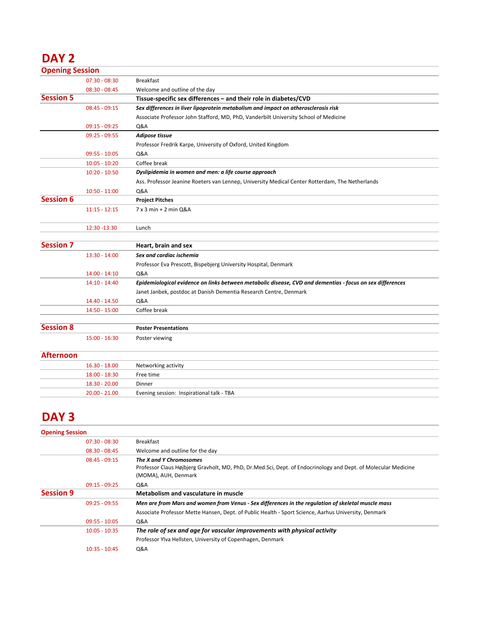# **DAY 2**

| <b>Opening Session</b> |                   |                                                                                                           |
|------------------------|-------------------|-----------------------------------------------------------------------------------------------------------|
|                        | $07:30 - 08:30$   | <b>Breakfast</b>                                                                                          |
|                        | $08:30 - 08:45$   | Welcome and outline of the day                                                                            |
| <b>Session 5</b>       |                   | Tissue-specific sex differences - and their role in diabetes/CVD                                          |
|                        | $08:45 - 09:15$   | Sex differences in liver lipoprotein metabolism and impact on atherosclerosis risk                        |
|                        |                   | Associate Professor John Stafford, MD, PhD, Vanderbilt University School of Medicine                      |
|                        | $09:15 - 09:25$   | Q&A                                                                                                       |
|                        | $09:25 - 09:55$   | Adipose tissue                                                                                            |
|                        |                   | Professor Fredrik Karpe, University of Oxford, United Kingdom                                             |
|                        | 09:55 - 10:05     | Q&A                                                                                                       |
|                        | $10:05 - 10:20$   | Coffee break                                                                                              |
|                        | $10:20 - 10:50$   | Dyslipidemia in women and men: a life course approach                                                     |
|                        |                   | Ass. Professor Jeanine Roeters van Lennep, University Medical Center Rotterdam, The Netherlands           |
|                        | $10:50 - 11:00$   | <b>Q&amp;A</b>                                                                                            |
| <b>Session 6</b>       |                   | <b>Project Pitches</b>                                                                                    |
|                        | $11:15 - 12:15$   | 7 x 3 min + 2 min Q&A                                                                                     |
|                        | 12:30 - 13:30     | Lunch                                                                                                     |
| <b>Session 7</b>       |                   | Heart, brain and sex                                                                                      |
|                        | $13:30 - 14:00$   | Sex and cardiac ischemia                                                                                  |
|                        |                   | Professor Eva Prescott, Bispebjerg University Hospital, Denmark                                           |
|                        | $14:00 - 14:10$   | Q&A                                                                                                       |
|                        | $14:10 - 14:40$   | Epidemiological evidence on links between metabolic disease, CVD and dementias - focus on sex differences |
|                        |                   | Janet Janbek, postdoc at Danish Dementia Research Centre, Denmark                                         |
|                        | 14.40 - 14.50     | <b>Q&amp;A</b>                                                                                            |
|                        | 14:50 - 15:00     | Coffee break                                                                                              |
| <b>Session 8</b>       |                   | <b>Poster Presentations</b>                                                                               |
|                        | $15:00 - 16:30$   | Poster viewing                                                                                            |
| <b>Afternoon</b>       |                   |                                                                                                           |
|                        | $16, 30 - 18, 00$ | Networking activity                                                                                       |

| 16.30 - 18.00   | Networking activity                       |
|-----------------|-------------------------------------------|
| 18:00 - 18:30   | Free time                                 |
| $18.30 - 20.00$ | <b>Dinner</b>                             |
| $20.00 - 21.00$ | Evening session: Inspirational talk - TBA |

## **DAY 3**

| <b>Opening Session</b> |                 |                                                                                                                                                                   |
|------------------------|-----------------|-------------------------------------------------------------------------------------------------------------------------------------------------------------------|
|                        | $07:30 - 08:30$ | <b>Breakfast</b>                                                                                                                                                  |
|                        | $08.30 - 08:45$ | Welcome and outline for the day                                                                                                                                   |
|                        | $08:45 - 09:15$ | The X and Y Chromosomes<br>Professor Claus Højbjerg Gravholt, MD, PhD, Dr.Med.Sci, Dept. of Endocrinology and Dept. of Molecular Medicine<br>(MOMA), AUH, Denmark |
|                        | $09:15 - 09:25$ | Q&A                                                                                                                                                               |
| <b>Session 9</b>       |                 | Metabolism and vasculature in muscle                                                                                                                              |
|                        | $09:25 - 09:55$ | Men are from Mars and women from Venus - Sex differences in the regulation of skeletal muscle mass                                                                |
|                        |                 | Associate Professor Mette Hansen, Dept. of Public Health - Sport Science, Aarhus University, Denmark                                                              |
|                        | $09:55 - 10:05$ | Q&A                                                                                                                                                               |
|                        | $10:05 - 10:35$ | The role of sex and age for vascular improvements with physical activity                                                                                          |
|                        |                 | Professor Ylva Hellsten, University of Copenhagen, Denmark                                                                                                        |
|                        | $10:35 - 10:45$ | Q&A                                                                                                                                                               |